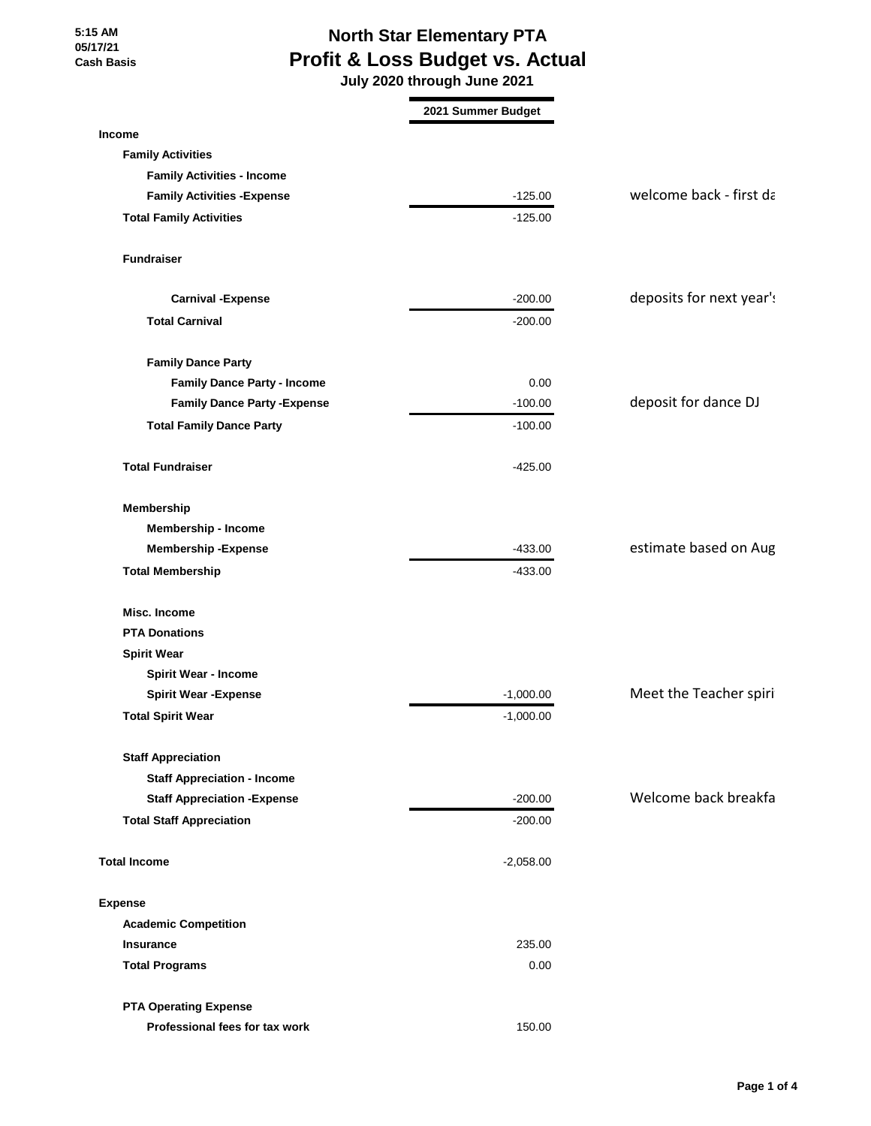# **North Star Elementary PTA Profit & Loss Budget vs. Actual**

 **July 2020 through June 2021**

|                                     | 2021 Summer Budget |                          |
|-------------------------------------|--------------------|--------------------------|
| Income                              |                    |                          |
| <b>Family Activities</b>            |                    |                          |
| <b>Family Activities - Income</b>   |                    |                          |
| <b>Family Activities - Expense</b>  | $-125.00$          | welcome back - first da  |
| <b>Total Family Activities</b>      | $-125.00$          |                          |
| <b>Fundraiser</b>                   |                    |                          |
| <b>Carnival -Expense</b>            | $-200.00$          | deposits for next year's |
| <b>Total Carnival</b>               | $-200.00$          |                          |
| <b>Family Dance Party</b>           |                    |                          |
| <b>Family Dance Party - Income</b>  | 0.00               |                          |
| <b>Family Dance Party - Expense</b> | $-100.00$          | deposit for dance DJ     |
| <b>Total Family Dance Party</b>     | $-100.00$          |                          |
| <b>Total Fundraiser</b>             | $-425.00$          |                          |
| Membership                          |                    |                          |
| Membership - Income                 |                    |                          |
| <b>Membership - Expense</b>         | $-433.00$          | estimate based on Aug    |
| <b>Total Membership</b>             | $-433.00$          |                          |
| Misc. Income                        |                    |                          |
| <b>PTA Donations</b>                |                    |                          |
| <b>Spirit Wear</b>                  |                    |                          |
| <b>Spirit Wear - Income</b>         |                    |                          |
| <b>Spirit Wear - Expense</b>        | $-1,000.00$        | Meet the Teacher spiri   |
| <b>Total Spirit Wear</b>            | $-1,000.00$        |                          |
| <b>Staff Appreciation</b>           |                    |                          |
| <b>Staff Appreciation - Income</b>  |                    |                          |
| <b>Staff Appreciation - Expense</b> | $-200.00$          | Welcome back breakfa     |
| <b>Total Staff Appreciation</b>     | $-200.00$          |                          |
| <b>Total Income</b>                 | $-2,058.00$        |                          |
| <b>Expense</b>                      |                    |                          |
| <b>Academic Competition</b>         |                    |                          |
| <b>Insurance</b>                    | 235.00             |                          |
| <b>Total Programs</b>               | 0.00               |                          |
| <b>PTA Operating Expense</b>        |                    |                          |
| Professional fees for tax work      | 150.00             |                          |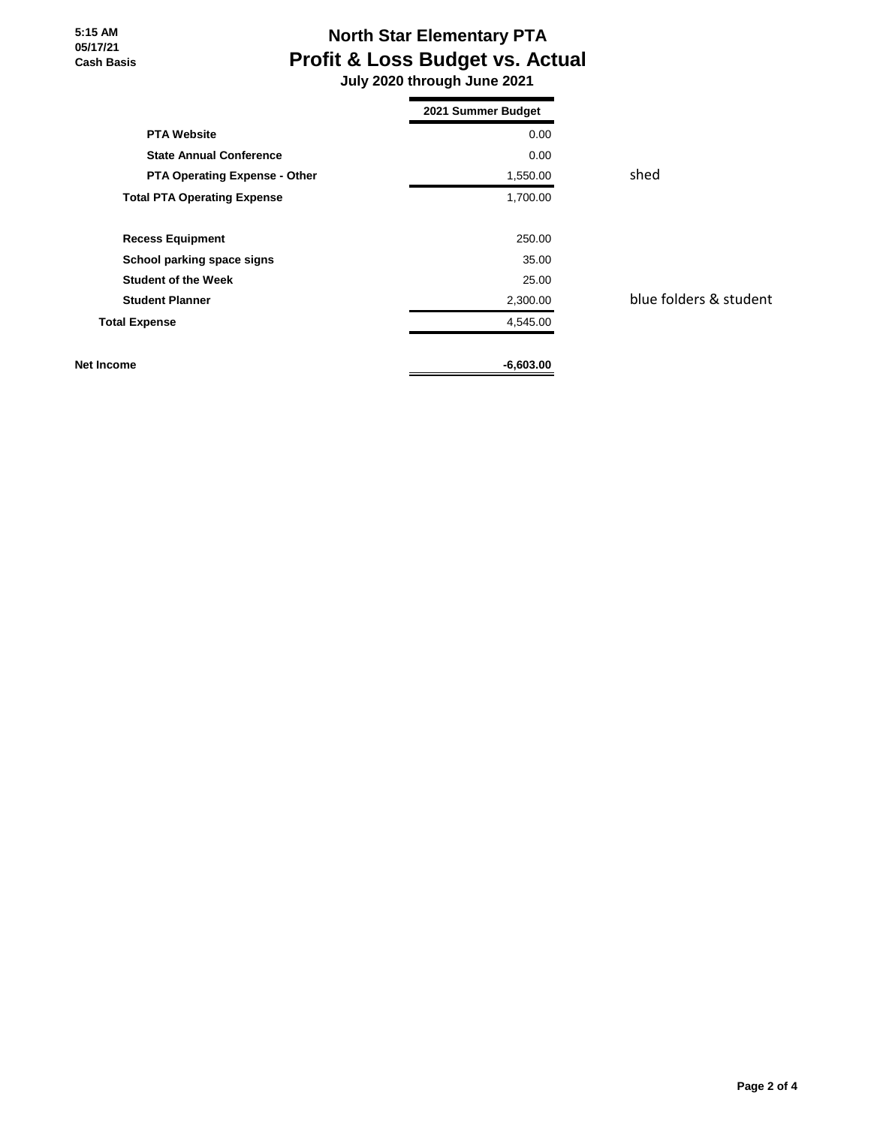# **North Star Elementary PTA Profit & Loss Budget vs. Actual**

 **July 2020 through June 2021**

|                                      | 2021 Summer Budget |      |
|--------------------------------------|--------------------|------|
| <b>PTA Website</b>                   | 0.00               |      |
| <b>State Annual Conference</b>       | 0.00               |      |
| <b>PTA Operating Expense - Other</b> | 1,550.00           | shed |
| <b>Total PTA Operating Expense</b>   | 1,700.00           |      |
| <b>Recess Equipment</b>              | 250.00             |      |
| School parking space signs           | 35.00              |      |
| <b>Student of the Week</b>           | 25.00              |      |
| <b>Student Planner</b>               | 2,300.00           | blue |
| <b>Total Expense</b>                 | 4,545.00           |      |
| Net Income                           | $-6,603.00$        |      |

**blue folders & student**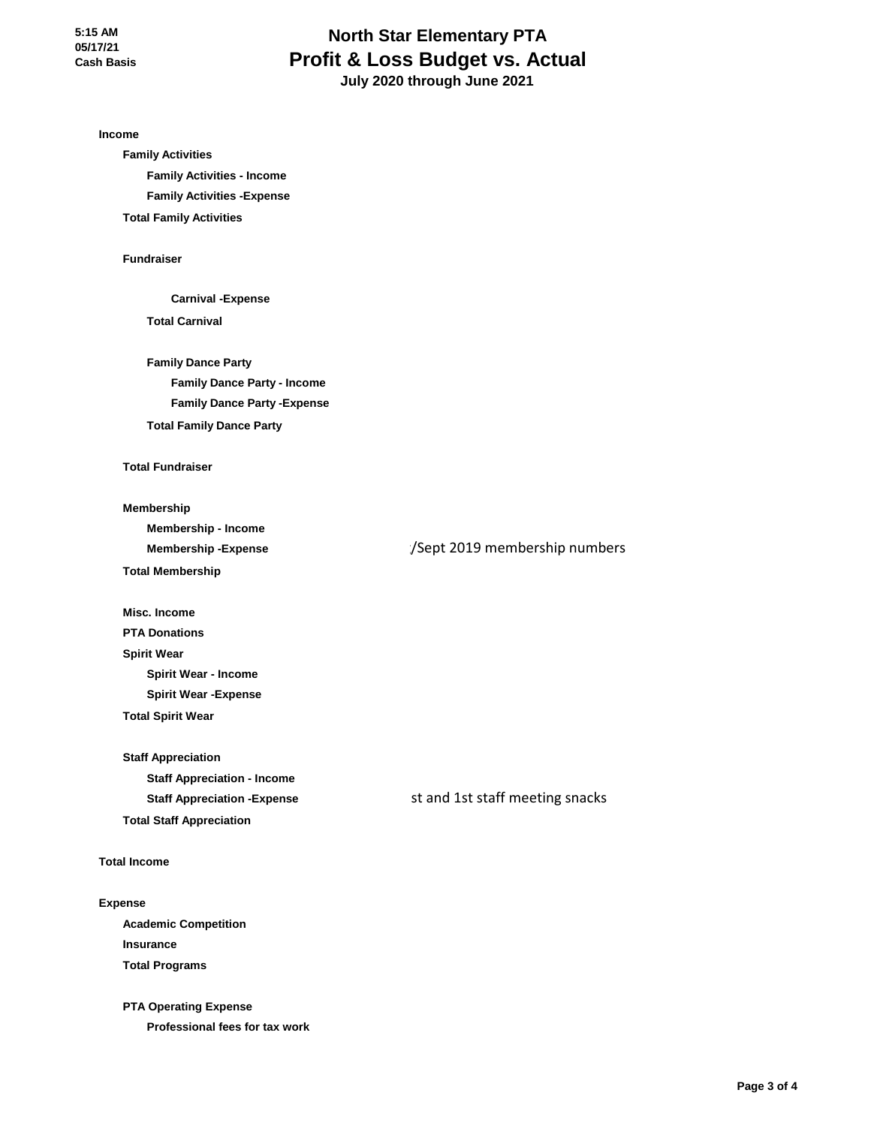## **North Star Elementary PTA Profit & Loss Budget vs. Actual July 2020 through June 2021**

**Income Family Activities Family Activities - Income Family Activities -Expense Total Family Activities Fundraiser Carnival -Expense Total Carnival Family Dance Party Family Dance Party - Income Family Dance Party -Expense Total Family Dance Party Total Fundraiser Membership Membership - Income Membership -Expense Total Membership Misc. Income PTA Donations Spirit Wear Spirit Wear - Income Spirit Wear -Expense Total Spirit Wear Staff Appreciation** :/Sept 2019 membership numbers

**Staff Appreciation - Income Staff Appreciation -Expense Total Staff Appreciation**

Ist and 1st staff meeting snacks

**Total Income**

#### **Expense**

**Academic Competition Insurance Total Programs**

**PTA Operating Expense Professional fees for tax work**